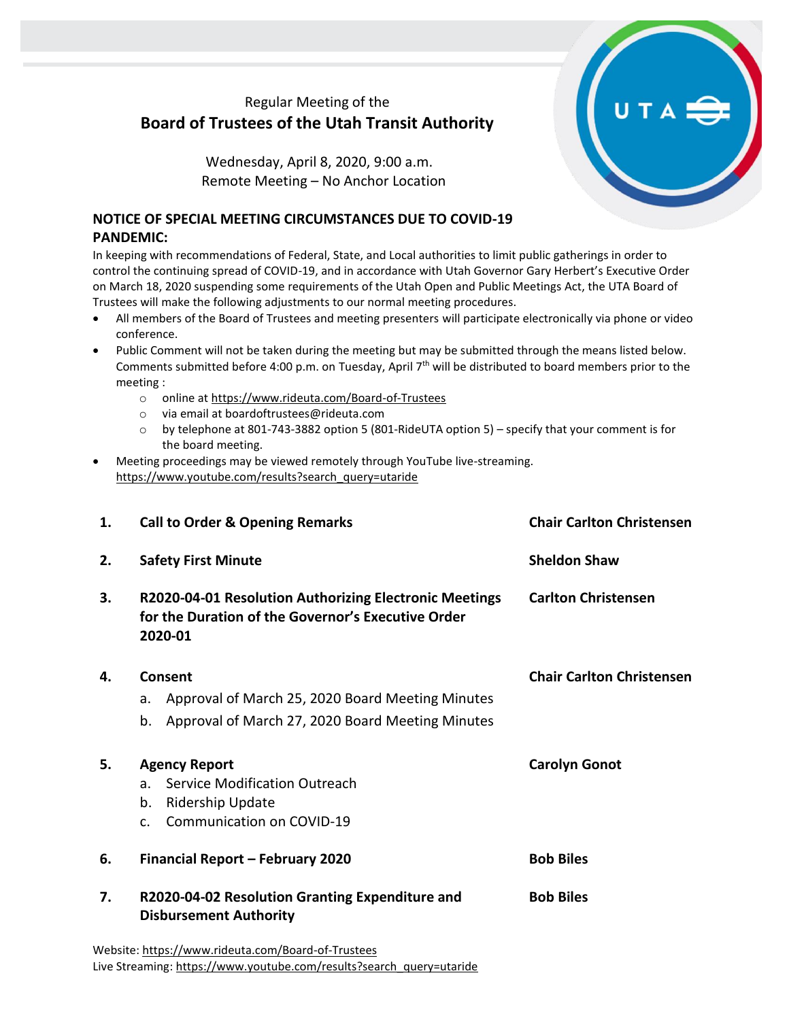## Regular Meeting of the **Board of Trustees of the Utah Transit Authority**

Wednesday, April 8, 2020, 9:00 a.m. Remote Meeting – No Anchor Location

## **NOTICE OF SPECIAL MEETING CIRCUMSTANCES DUE TO COVID-19 PANDEMIC:**

In keeping with recommendations of Federal, State, and Local authorities to limit public gatherings in order to control the continuing spread of COVID-19, and in accordance with Utah Governor Gary Herbert's Executive Order on March 18, 2020 suspending some requirements of the Utah Open and Public Meetings Act, the UTA Board of Trustees will make the following adjustments to our normal meeting procedures.

- All members of the Board of Trustees and meeting presenters will participate electronically via phone or video conference.
- Public Comment will not be taken during the meeting but may be submitted through the means listed below. Comments submitted before 4:00 p.m. on Tuesday, April 7<sup>th</sup> will be distributed to board members prior to the meeting :
	- o online at<https://www.rideuta.com/Board-of-Trustees>
	- o via email at [boardoftrustees@rideuta.com](mailto:boardoftrustees@rideuta.com)
	- o by telephone at 801-743-3882 option 5 (801-RideUTA option 5) specify that your comment is for the board meeting.
- Meeting proceedings may be viewed remotely through YouTube live-streaming. [https://www.youtube.com/results?search\\_query=utaride](https://www.youtube.com/results?search_query=utaride)

| 1. | <b>Call to Order &amp; Opening Remarks</b>                                                                                        | <b>Chair Carlton Christensen</b> |
|----|-----------------------------------------------------------------------------------------------------------------------------------|----------------------------------|
| 2. | <b>Safety First Minute</b>                                                                                                        | <b>Sheldon Shaw</b>              |
| 3. | R2020-04-01 Resolution Authorizing Electronic Meetings<br>for the Duration of the Governor's Executive Order<br>2020-01           | <b>Carlton Christensen</b>       |
| 4. | Consent<br>Approval of March 25, 2020 Board Meeting Minutes<br>a.<br>Approval of March 27, 2020 Board Meeting Minutes<br>b.       | <b>Chair Carlton Christensen</b> |
| 5. | <b>Agency Report</b><br>Service Modification Outreach<br>a.<br>Ridership Update<br>b.<br>Communication on COVID-19<br>$C_{\cdot}$ | <b>Carolyn Gonot</b>             |
| 6. | Financial Report - February 2020                                                                                                  | <b>Bob Biles</b>                 |
| 7. | R2020-04-02 Resolution Granting Expenditure and<br><b>Disbursement Authority</b>                                                  | <b>Bob Biles</b>                 |
|    | Website: https://www.rideuta.com/Board-of-Trustees                                                                                |                                  |

Live Streaming[: https://www.youtube.com/results?search\\_query=utaride](https://www.youtube.com/results?search_query=utaride)